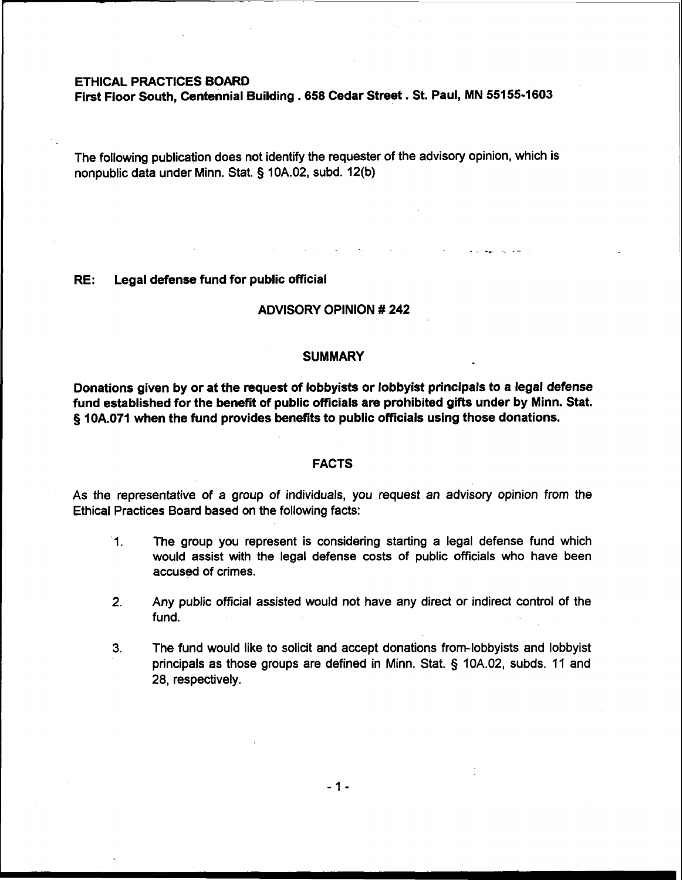## ETHICAL PRACTICES BOARD

First Floor South, Centennial Building . 658 Cedar Street. St. Paul, MN 55155-1603

The following publication does not identify the requester of the advisory opinion, which is nonpublic data under Minn. Stat. **5** 10A.02, subd. 12(b)

#### RE: Legal defense fund for public official

# ADVISORY OPINION # 242

#### **SUMMARY**

Donations given by or at the request of lobbyists or lobbyist principals to a legal defense fund established for the benefit of public officials are prohibited gifts under by Minn. Stat. § 10A.071 when the fund provides benefits to public officials using those donations.

### FACTS

As the representative of a group of individuals, you request an advisory opinion from the Ethical Practices Board based on the following facts:

- 1. The group you represent is considering starting a legal defense fund which would assist with the legal defense costs of public officials who have been accused of crimes.
- **2.** Any public official assisted would not have any direct or indirect control of the fund.
- **3.** The fund would like to solicit and accept donations from-lobbyists and lobbyist principals as those groups are defined in Minn. Stat. § 10A.02, subds. 11 and 28, respectively.

 $-1-$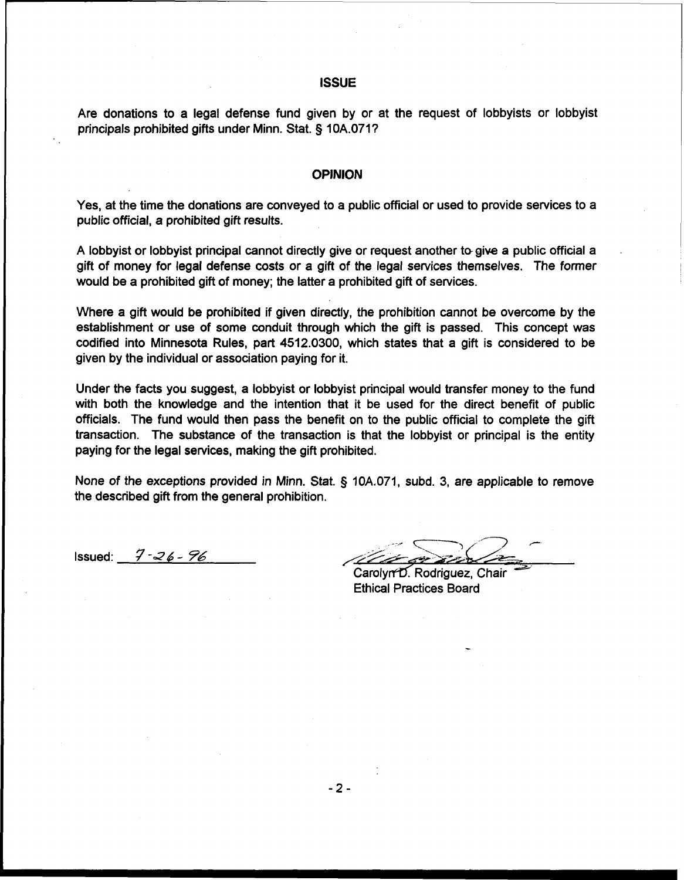## **ISSUE**

Are donations to a legal defense fund given by or at the request of lobbyists or lobbyist principals prohibited gifts under Minn. Stat. § 10A.0717

#### OPINION

Yes, at the time the donations are conveyed to a public official or used to provide services to a public official, a prohibited gift results.

A lobbyist or lobbyist principal cannot directly give or request another togive a public official a gift of money for legal defense costs or a gift of the legal services themselves. The former would be a prohibited gift of money; the latter a prohibited gift of services.

Where a gift would be prohibited if given directly, the prohibition cannot be overcome by the establishment or use of some conduit through which the gift is passed. This concept was codified into Minnesota Rules, part 4512.0300, which states that a gift is considered to be given by the individual or association paying for it.

Under the facts you suggest, a lobbyist or lobbyist principal would transfer money to the fund with both the knowledge and the intention that it be used for the direct benefit of public officials. The fund would then pass the benefit on to the public official to complete the gift transaction. The substance of the transaction is that the lobbyist or principal is the entity paying for the legal services, making the gift prohibited.

None of the exceptions provided in Minn. Stat. § 10A.071, subd. 3, are applicable to remove the described gift from the general prohibition.

Issued: *j7* **-2** 6 - 76

--, -3 **<sup>r</sup> /+~>fl/+** h-LA==- - -7 ~arol~rf6~odri~uez~ Chair *a* 

Ethical Practices Board

 $-2-$